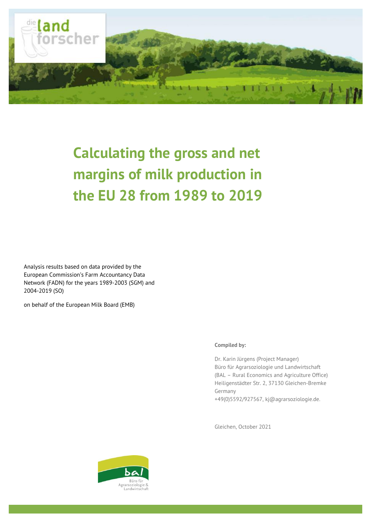

# **Calculating the gross and net margins of milk production in the EU 28 from 1989 to 2019**

Analysis results based on data provided by the European Commission's Farm Accountancy Data Network (FADN) for the years 1989-2003 (SGM) and 2004-2019 (SO)

on behalf of the European Milk Board (EMB)

### **Compiled by:**

Dr. Karin Jürgens (Project Manager) Büro für Agrarsoziologie und Landwirtschaft (BAL – Rural Economics and Agriculture Office) Heiligenstädter Str. 2, 37130 Gleichen-Bremke Germany

+49(0)5592/927567, [kj@agrarsoziologie.de.](mailto:kj@agrarsoziologie.de)

Gleichen, October 2021

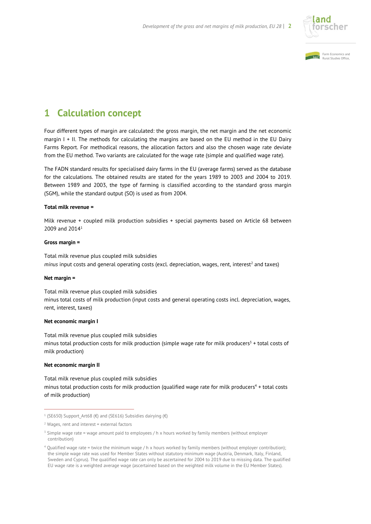



### **1 Calculation concept**

Four different types of margin are calculated: the gross margin, the net margin and the net economic margin I + II. The methods for calculating the margins are based on the EU method in the EU Dairy Farms Report. For methodical reasons, the allocation factors and also the chosen wage rate deviate from the EU method. Two variants are calculated for the wage rate (simple and qualified wage rate).

The FADN standard results for specialised dairy farms in the EU (average farms) served as the database for the calculations. The obtained results are stated for the years 1989 to 2003 and 2004 to 2019. Between 1989 and 2003, the type of farming is classified according to the standard gross margin (SGM), while the standard output (SO) is used as from 2004.

### **Total milk revenue =**

Milk revenue + coupled milk production subsidies + special payments based on Article 68 between 2009 and 2014<sup>1</sup>

### **Gross margin =**

Total milk revenue plus coupled milk subsidies *minus* input costs and general operating costs (excl. depreciation, wages, rent, interest<sup>2</sup> and taxes)

### **Net margin =**

Total milk revenue plus coupled milk subsidies minus total costs of milk production (input costs and general operating costs incl. depreciation, wages, rent, interest, taxes)

#### **Net economic margin I**

Total milk revenue plus coupled milk subsidies minus total production costs for milk production (simple wage rate for milk producers $3 +$  total costs of milk production)

### **Net economic margin II**

Total milk revenue plus coupled milk subsidies minus total production costs for milk production (qualified wage rate for milk producers<sup>4</sup> + total costs of milk production)

<sup>1</sup> (SE650) Support\_Art68 (€) and (SE616) Subsidies dairying (€)

 $2$  Wages, rent and interest = external factors

<sup>&</sup>lt;sup>3</sup> Simple wage rate = wage amount paid to employees / h x hours worked by family members (without employer contribution)

<sup>4</sup> Qualified wage rate = twice the minimum wage / h x hours worked by family members (without employer contribution); the simple wage rate was used for Member States without statutory minimum wage (Austria, Denmark, Italy, Finland, Sweden and Cyprus). The qualified wage rate can only be ascertained for 2004 to 2019 due to missing data. The qualified EU wage rate is a weighted average wage (ascertained based on the weighted milk volume in the EU Member States).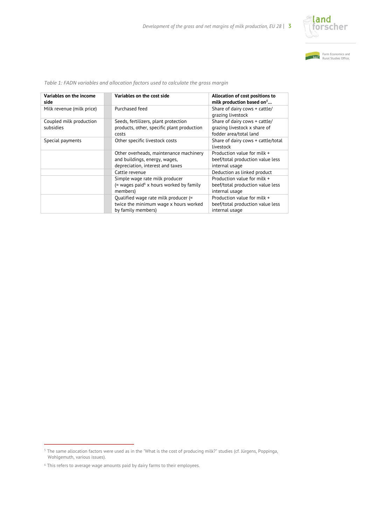



| Variables on the income<br>side      | Variables on the cost side                                                                                  | Allocation of cost positions to<br>milk production based on <sup>5</sup>                |
|--------------------------------------|-------------------------------------------------------------------------------------------------------------|-----------------------------------------------------------------------------------------|
| Milk revenue (milk price)            | Purchased feed                                                                                              | Share of dairy cows + cattle/<br>grazing livestock                                      |
| Coupled milk production<br>subsidies | Seeds, fertilizers, plant protection<br>products, other, specific plant production<br>costs                 | Share of dairy cows + cattle/<br>grazing livestock x share of<br>fodder area/total land |
| Special payments                     | Other specific livestock costs                                                                              | Share of dairy cows + cattle/total<br>livestock                                         |
|                                      | Other overheads, maintenance machinery<br>and buildings, energy, wages,<br>depreciation, interest and taxes | Production value for milk +<br>beef/total production value less<br>internal usage       |
|                                      | Cattle revenue                                                                                              | Deduction as linked product                                                             |
|                                      | Simple wage rate milk producer<br>$($ = wages paid $6$ x hours worked by family<br>members)                 | Production value for milk +<br>beef/total production value less<br>internal usage       |
|                                      | Qualified wage rate milk producer (=<br>twice the minimum wage x hours worked<br>by family members)         | Production value for milk +<br>beef/total production value less<br>internal usage       |

*Table 1: FADN variables and allocation factors used to calculate the gross margin*

<sup>5</sup> The same allocation factors were used as in the "What is the cost of producing milk?" studies (cf. Jürgens, Poppinga, Wohlgemuth, various issues).

<sup>6</sup> This refers to average wage amounts paid by dairy farms to their employees.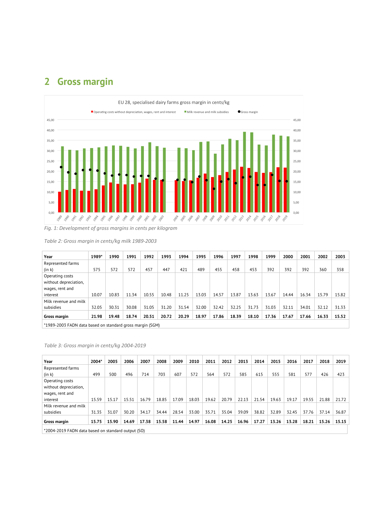## **2 Gross margin**



### *Table 2: Gross margin in cents/kg milk 1989-2003*

| Year                                                      | 1989* | 1990  | 1991  | 1992  | 1993  | 1994  | 1995  | 1996  | 1997  | 1998  | 1999  | 2000  | 2001  | 2002  | 2003  |
|-----------------------------------------------------------|-------|-------|-------|-------|-------|-------|-------|-------|-------|-------|-------|-------|-------|-------|-------|
| Represented farms                                         |       |       |       |       |       |       |       |       |       |       |       |       |       |       |       |
| (in k)                                                    | 575   | 572   | 572   | 457   | 447   | 421   | 489   | 455   | 458   | 453   | 392   | 392   | 392   | 360   | 358   |
| Operating costs                                           |       |       |       |       |       |       |       |       |       |       |       |       |       |       |       |
| without depreciation,                                     |       |       |       |       |       |       |       |       |       |       |       |       |       |       |       |
| wages, rent and                                           |       |       |       |       |       |       |       |       |       |       |       |       |       |       |       |
| interest                                                  | 10.07 | 10.83 | 11.34 | 10.55 | 10.48 | 11.25 | 13.03 | 14.57 | 13.87 | 13.63 | 13.67 | 14.44 | 16.34 | 15.79 | 15.82 |
| Milk revenue and milk                                     |       |       |       |       |       |       |       |       |       |       |       |       |       |       |       |
| subsidies                                                 | 32.05 | 30.31 | 30.08 | 31.05 | 31.20 | 31.54 | 32.00 | 32.42 | 32.25 | 31.73 | 31.03 | 32.11 | 34.01 | 32.12 | 31.33 |
| Gross margin                                              | 21.98 | 19.48 | 18.74 | 20.51 | 20.72 | 20.29 | 18.97 | 17.86 | 18.39 | 18.10 | 17.36 | 17.67 | 17.66 | 16.33 | 15.52 |
| *1989-2003 FADN data based on standard gross margin (SGM) |       |       |       |       |       |       |       |       |       |       |       |       |       |       |       |

### *Table 3: Gross margin in cents/kg 2004-2019*

| Year                                                   | 2004* | 2005  | 2006  | 2007  | 2008  | 2009  | 2010  | 2011  | 2012  | 2013  | 2014  | 2015  | 2016  | 2017  | 2018  | 2019  |
|--------------------------------------------------------|-------|-------|-------|-------|-------|-------|-------|-------|-------|-------|-------|-------|-------|-------|-------|-------|
| Represented farms                                      |       |       |       |       |       |       |       |       |       |       |       |       |       |       |       |       |
| (in k)                                                 | 499   | 500   | 496   | 714   | 703   | 607   | 572   | 564   | 572   | 585   | 615   | 555   | 581   | 577   | 426   | 423   |
| Operating costs                                        |       |       |       |       |       |       |       |       |       |       |       |       |       |       |       |       |
| without depreciation,                                  |       |       |       |       |       |       |       |       |       |       |       |       |       |       |       |       |
| wages, rent and                                        |       |       |       |       |       |       |       |       |       |       |       |       |       |       |       |       |
| interest                                               | 15.59 | 15.17 | 15.51 | 16.79 | 18.85 | 17.09 | 18.03 | 19.62 | 20.79 | 22.13 | 21.54 | 19.63 | 19.17 | 19.55 | 21.88 | 21.72 |
| Milk revenue and milk                                  |       |       |       |       |       |       |       |       |       |       |       |       |       |       |       |       |
| subsidies                                              | 31.35 | 31.07 | 30.20 | 34.17 | 34.44 | 28.54 | 33.00 | 35.71 | 35.04 | 39.09 | 38.82 | 32.89 | 32.45 | 37.76 | 37.14 | 36.87 |
| Gross margin                                           | 15.75 | 15.90 | 14.69 | 17.38 | 15.58 | 11.44 | 14.97 | 16.08 | 14.25 | 16.96 | 17.27 | 13.26 | 13.28 | 18.21 | 15.26 | 15.15 |
| $*2004.2010$ EADN data based on standard output $(50)$ |       |       |       |       |       |       |       |       |       |       |       |       |       |       |       |       |

\*2004-2019 FADN data based on standard output (SO)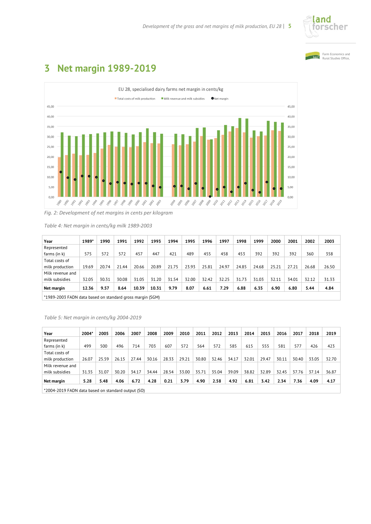





### **3 Net margin 1989-2019**

*Fig. 2: Development of net margins in cents per kilogram*

*Table 4: Net margin in cents/kg milk 1989-2003*

| Year             | 1989*                                                     | 1990  | 1991  | 1992  | 1993  | 1994  | 1995  | 1996  | 1997  | 1998  | 1999  | 2000  | 2001  | 2002  | 2003  |
|------------------|-----------------------------------------------------------|-------|-------|-------|-------|-------|-------|-------|-------|-------|-------|-------|-------|-------|-------|
| Represented      |                                                           |       |       |       |       |       |       |       |       |       |       |       |       |       |       |
| farms (in k)     | 575                                                       | 572   | 572   | 457   | 447   | 421   | 489   | 455   | 458   | 453   | 392   | 392   | 392   | 360   | 358   |
| Total costs of   |                                                           |       |       |       |       |       |       |       |       |       |       |       |       |       |       |
| milk production  | 19.69                                                     | 20.74 | 21.44 | 20.66 | 20.89 | 21.75 | 23.93 | 25.81 | 24.97 | 24.85 | 24.68 | 25.21 | 27.21 | 26.68 | 26.50 |
| Milk revenue and |                                                           |       |       |       |       |       |       |       |       |       |       |       |       |       |       |
| milk subsidies   | 32.05                                                     | 30.31 | 30.08 | 31.05 | 31.20 | 31.54 | 32.00 | 32.42 | 32.25 | 31.73 | 31.03 | 32.11 | 34.01 | 32.12 | 31.33 |
| Net margin       | 12.36                                                     | 9.57  | 8.64  | 10.39 | 10.31 | 9.79  | 8.07  | 6.61  | 7.29  | 6.88  | 6.35  | 6.90  | 6.80  | 5.44  | 4.84  |
|                  | *1989-2003 FADN data based on standard gross margin (SGM) |       |       |       |       |       |       |       |       |       |       |       |       |       |       |

### *Table 5: Net margin in cents/kg 2004-2019*

| Year                                               | 2004* | 2005  | 2006  | 2007  | 2008  | 2009  | 2010  | 2011  | 2012  | 2013  | 2014  | 2015  | 2016  | 2017  | 2018  | 2019  |
|----------------------------------------------------|-------|-------|-------|-------|-------|-------|-------|-------|-------|-------|-------|-------|-------|-------|-------|-------|
| Represented                                        |       |       |       |       |       |       |       |       |       |       |       |       |       |       |       |       |
| farms (in k)                                       | 499   | 500   | 496   | 714   | 703   | 607   | 572   | 564   | 572   | 585   | 615   | 555   | 581   | 577   | 426   | 423   |
| Total costs of                                     |       |       |       |       |       |       |       |       |       |       |       |       |       |       |       |       |
| milk production                                    | 26.07 | 25.59 | 26.15 | 27.44 | 30.16 | 28.33 | 29.21 | 30.80 | 32.46 | 34.17 | 32.01 | 29.47 | 30.11 | 30.40 | 33.05 | 32.70 |
| Milk revenue and                                   |       |       |       |       |       |       |       |       |       |       |       |       |       |       |       |       |
| milk subsidies                                     | 31.35 | 31.07 | 30.20 | 34.17 | 34.44 | 28.54 | 33.00 | 35.71 | 35.04 | 39.09 | 38.82 | 32.89 | 32.45 | 37.76 | 37.14 | 36.87 |
| Net margin                                         | 5.28  | 5.48  | 4.06  | 6.72  | 4.28  | 0.21  | 3.79  | 4.90  | 2.58  | 4.92  | 6.81  | 3.42  | 2.34  | 7.36  | 4.09  | 4.17  |
| *2004-2019 FADN data based on standard output (SO) |       |       |       |       |       |       |       |       |       |       |       |       |       |       |       |       |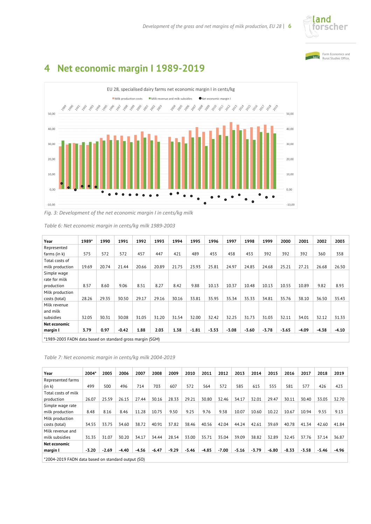



## **4 Net economic margin I 1989-2019**



*Fig. 3: Development of the net economic margin I in cents/kg milk* 

| Year                                                      | 1989* | 1990  | 1991    | 1992  | 1993  | 1994  | 1995    | 1996    | 1997    | 1998    | 1999    | 2000    | 2001    | 2002    | 2003    |
|-----------------------------------------------------------|-------|-------|---------|-------|-------|-------|---------|---------|---------|---------|---------|---------|---------|---------|---------|
| Represented                                               |       |       |         |       |       |       |         |         |         |         |         |         |         |         |         |
| farms (in k)                                              | 575   | 572   | 572     | 457   | 447   | 421   | 489     | 455     | 458     | 453     | 392     | 392     | 392     | 360     | 358     |
| Total costs of                                            |       |       |         |       |       |       |         |         |         |         |         |         |         |         |         |
| milk production                                           | 19.69 | 20.74 | 21.44   | 20.66 | 20.89 | 21.75 | 23.93   | 25.81   | 24.97   | 24.85   | 24.68   | 25.21   | 27.21   | 26.68   | 26.50   |
| Simple wage                                               |       |       |         |       |       |       |         |         |         |         |         |         |         |         |         |
| rate for milk                                             |       |       |         |       |       |       |         |         |         |         |         |         |         |         |         |
| production                                                | 8.57  | 8.60  | 9.06    | 8.51  | 8.27  | 8.42  | 9.88    | 10.13   | 10.37   | 10.48   | 10.13   | 10.55   | 10.89   | 9.82    | 8.93    |
| Milk production                                           |       |       |         |       |       |       |         |         |         |         |         |         |         |         |         |
| costs (total)                                             | 28.26 | 29.35 | 30.50   | 29.17 | 29.16 | 30.16 | 33.81   | 35.95   | 35.34   | 35.33   | 34.81   | 35.76   | 38.10   | 36.50   | 35.43   |
| Milk revenue                                              |       |       |         |       |       |       |         |         |         |         |         |         |         |         |         |
| and milk                                                  |       |       |         |       |       |       |         |         |         |         |         |         |         |         |         |
| subsidies                                                 | 32.05 | 30.31 | 30.08   | 31.05 | 31.20 | 31.54 | 32.00   | 32.42   | 32.25   | 31.73   | 31.03   | 32.11   | 34.01   | 32.12   | 31.33   |
| Net economic                                              |       |       |         |       |       |       |         |         |         |         |         |         |         |         |         |
| margin I                                                  | 3.79  | 0.97  | $-0.42$ | 1.88  | 2.03  | 1.38  | $-1.81$ | $-3.53$ | $-3.08$ | $-3.60$ | $-3.78$ | $-5.65$ | $-4.09$ | $-4.38$ | $-4.10$ |
| *1000 2007 EADN data based on standard gross margin (SCM) |       |       |         |       |       |       |         |         |         |         |         |         |         |         |         |

*Table 6: Net economic margin in cents/kg milk 1989-2003*

\*1989-2003 FADN data based on standard gross margin (SGM)

*Table 7: Net economic margin in cents/kg milk 2004-2019* 

| Year                                                   | 2004*   | 2005    | 2006    | 2007    | 2008    | 2009    | 2010    | 2011    | 2012    | 2013    | 2014    | 2015    | 2016    | 2017    | 2018    | 2019  |
|--------------------------------------------------------|---------|---------|---------|---------|---------|---------|---------|---------|---------|---------|---------|---------|---------|---------|---------|-------|
| Represented farms                                      |         |         |         |         |         |         |         |         |         |         |         |         |         |         |         |       |
| (in k)                                                 | 499     | 500     | 496     | 714     | 703     | 607     | 572     | 564     | 572     | 585     | 615     | 555     | 581     | 577     | 426     | 423   |
| Total costs of milk<br>production                      | 26.07   | 25.59   | 26.15   | 27.44   | 30.16   | 28.33   | 29.21   | 30.80   | 32.46   | 34.17   | 32.01   | 29.47   | 30.11   | 30.40   | 33.05   | 32.70 |
| Simple wage rate<br>milk production                    | 8.48    | 8.16    | 8.46    | 11.28   | 10.75   | 9.50    | 9.25    | 9.76    | 9.58    | 10.07   | 10.60   | 10.22   | 10.67   | 10.94   | 9.55    | 9.13  |
| Milk production<br>costs (total)                       | 34.55   | 33.75   | 34.60   | 38.72   | 40.91   | 37.82   | 38.46   | 40.56   | 42.04   | 44.24   | 42.61   | 39.69   | 40.78   | 41.34   | 42.60   | 41.84 |
| Milk revenue and<br>milk subsidies                     | 31.35   | 31.07   | 30.20   | 34.17   | 34.44   | 28.54   | 33.00   | 35.71   | 35.04   | 39.09   | 38.82   | 32.89   | 32.45   | 37.76   | 37.14   | 36.87 |
| Net economic<br>margin I                               | $-5.20$ | $-2.69$ | $-4.40$ | $-4.56$ | $-6.47$ | $-9.29$ | $-5.46$ | $-4.85$ | $-7.00$ | $-5.16$ | $-3.79$ | $-6.80$ | $-8.33$ | $-5.58$ | $-5.46$ | -4.96 |
| $*2004.2010$ EADN data based on standard output $(50)$ |         |         |         |         |         |         |         |         |         |         |         |         |         |         |         |       |

\*2004-2019 FADN data based on standard output (SO)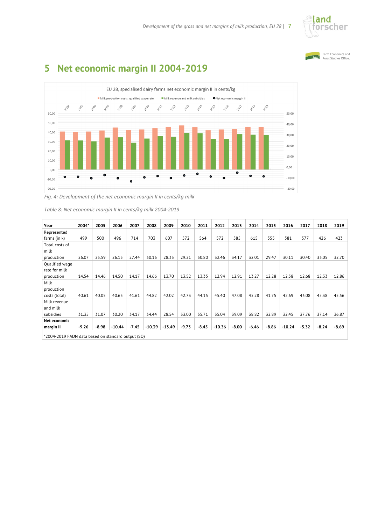



# **5 Net economic margin II 2004-2019** EU 28, specialised dairy farms net economic margin II in cents/kg



*Fig. 4: Development of the net economic margin II in cents/kg milk* 

| Table 8: Net economic margin II in cents/kg milk 2004-2019 |  |
|------------------------------------------------------------|--|
|------------------------------------------------------------|--|

| Year                                               | 2004*   | 2005    | 2006     | 2007    | 2008     | 2009     | 2010    | 2011    | 2012     | 2013    | 2014    | 2015    | 2016     | 2017    | 2018    | 2019    |
|----------------------------------------------------|---------|---------|----------|---------|----------|----------|---------|---------|----------|---------|---------|---------|----------|---------|---------|---------|
| Represented                                        |         |         |          |         |          |          |         |         |          |         |         |         |          |         |         |         |
| farms (in k)                                       | 499     | 500     | 496      | 714     | 703      | 607      | 572     | 564     | 572      | 585     | 615     | 555     | 581      | 577     | 426     | 423     |
| Total costs of                                     |         |         |          |         |          |          |         |         |          |         |         |         |          |         |         |         |
| milk                                               |         |         |          |         |          |          |         |         |          |         |         |         |          |         |         |         |
| production                                         | 26.07   | 25.59   | 26.15    | 27.44   | 30.16    | 28.33    | 29.21   | 30.80   | 32.46    | 34.17   | 32.01   | 29.47   | 30.11    | 30.40   | 33.05   | 32.70   |
| Oualified wage                                     |         |         |          |         |          |          |         |         |          |         |         |         |          |         |         |         |
| rate for milk                                      |         |         |          |         |          |          |         |         |          |         |         |         |          |         |         |         |
| production                                         | 14.54   | 14.46   | 14.50    | 14.17   | 14.66    | 13.70    | 13.52   | 13.35   | 12.94    | 12.91   | 13.27   | 12.28   | 12.58    | 12.68   | 12.33   | 12.86   |
| Milk                                               |         |         |          |         |          |          |         |         |          |         |         |         |          |         |         |         |
| production                                         |         |         |          |         |          |          |         |         |          |         |         |         |          |         |         |         |
| costs (total)                                      | 40.61   | 40.05   | 40.65    | 41.61   | 44.82    | 42.02    | 42.73   | 44.15   | 45.40    | 47.08   | 45.28   | 41.75   | 42.69    | 43.08   | 45.38   | 45.56   |
| Milk revenue                                       |         |         |          |         |          |          |         |         |          |         |         |         |          |         |         |         |
| and milk                                           |         |         |          |         |          |          |         |         |          |         |         |         |          |         |         |         |
| subsidies                                          | 31.35   | 31.07   | 30.20    | 34.17   | 34.44    | 28.54    | 33.00   | 35.71   | 35.04    | 39.09   | 38.82   | 32.89   | 32.45    | 37.76   | 37.14   | 36.87   |
| Net economic                                       |         |         |          |         |          |          |         |         |          |         |         |         |          |         |         |         |
| margin II                                          | $-9.26$ | $-8.98$ | $-10.44$ | $-7.45$ | $-10.39$ | $-13.49$ | $-9.73$ | $-8.45$ | $-10.36$ | $-8.00$ | $-6.46$ | $-8.86$ | $-10.24$ | $-5.32$ | $-8.24$ | $-8.69$ |
| *2004-2019 FADN data based on standard output (SO) |         |         |          |         |          |          |         |         |          |         |         |         |          |         |         |         |